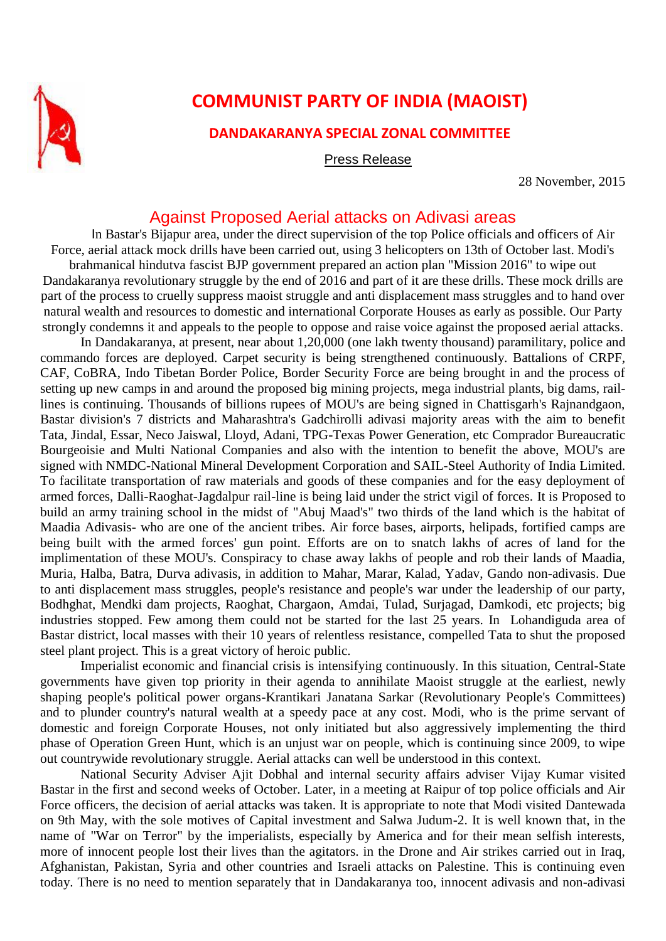

## **COMMUNIST PARTY OF INDIA (MAOIST)**

## **DANDAKARANYA SPECIAL ZONAL COMMITTEE**

Press Release

28 November, 2015

## Against Proposed Aerial attacks on Adivasi areas

In Bastar's Bijapur area, under the direct supervision of the top Police officials and officers of Air Force, aerial attack mock drills have been carried out, using 3 helicopters on 13th of October last. Modi's brahmanical hindutva fascist BJP government prepared an action plan "Mission 2016" to wipe out Dandakaranya revolutionary struggle by the end of 2016 and part of it are these drills. These mock drills are part of the process to cruelly suppress maoist struggle and anti displacement mass struggles and to hand over natural wealth and resources to domestic and international Corporate Houses as early as possible. Our Party strongly condemns it and appeals to the people to oppose and raise voice against the proposed aerial attacks.

In Dandakaranya, at present, near about 1,20,000 (one lakh twenty thousand) paramilitary, police and commando forces are deployed. Carpet security is being strengthened continuously. Battalions of CRPF, CAF, CoBRA, Indo Tibetan Border Police, Border Security Force are being brought in and the process of setting up new camps in and around the proposed big mining projects, mega industrial plants, big dams, raillines is continuing. Thousands of billions rupees of MOU's are being signed in Chattisgarh's Rajnandgaon, Bastar division's 7 districts and Maharashtra's Gadchirolli adivasi majority areas with the aim to benefit Tata, Jindal, Essar, Neco Jaiswal, Lloyd, Adani, TPG-Texas Power Generation, etc Comprador Bureaucratic Bourgeoisie and Multi National Companies and also with the intention to benefit the above, MOU's are signed with NMDC-National Mineral Development Corporation and SAIL-Steel Authority of India Limited. To facilitate transportation of raw materials and goods of these companies and for the easy deployment of armed forces, Dalli-Raoghat-Jagdalpur rail-line is being laid under the strict vigil of forces. It is Proposed to build an army training school in the midst of "Abuj Maad's" two thirds of the land which is the habitat of Maadia Adivasis- who are one of the ancient tribes. Air force bases, airports, helipads, fortified camps are being built with the armed forces' gun point. Efforts are on to snatch lakhs of acres of land for the implimentation of these MOU's. Conspiracy to chase away lakhs of people and rob their lands of Maadia, Muria, Halba, Batra, Durva adivasis, in addition to Mahar, Marar, Kalad, Yadav, Gando non-adivasis. Due to anti displacement mass struggles, people's resistance and people's war under the leadership of our party, Bodhghat, Mendki dam projects, Raoghat, Chargaon, Amdai, Tulad, Surjagad, Damkodi, etc projects; big industries stopped. Few among them could not be started for the last 25 years. In Lohandiguda area of Bastar district, local masses with their 10 years of relentless resistance, compelled Tata to shut the proposed steel plant project. This is a great victory of heroic public.

Imperialist economic and financial crisis is intensifying continuously. In this situation, Central-State governments have given top priority in their agenda to annihilate Maoist struggle at the earliest, newly shaping people's political power organs-Krantikari Janatana Sarkar (Revolutionary People's Committees) and to plunder country's natural wealth at a speedy pace at any cost. Modi, who is the prime servant of domestic and foreign Corporate Houses, not only initiated but also aggressively implementing the third phase of Operation Green Hunt, which is an unjust war on people, which is continuing since 2009, to wipe out countrywide revolutionary struggle. Aerial attacks can well be understood in this context.

National Security Adviser Ajit Dobhal and internal security affairs adviser Vijay Kumar visited Bastar in the first and second weeks of October. Later, in a meeting at Raipur of top police officials and Air Force officers, the decision of aerial attacks was taken. It is appropriate to note that Modi visited Dantewada on 9th May, with the sole motives of Capital investment and Salwa Judum-2. It is well known that, in the name of "War on Terror" by the imperialists, especially by America and for their mean selfish interests, more of innocent people lost their lives than the agitators. in the Drone and Air strikes carried out in Iraq, Afghanistan, Pakistan, Syria and other countries and Israeli attacks on Palestine. This is continuing even today. There is no need to mention separately that in Dandakaranya too, innocent adivasis and non-adivasi